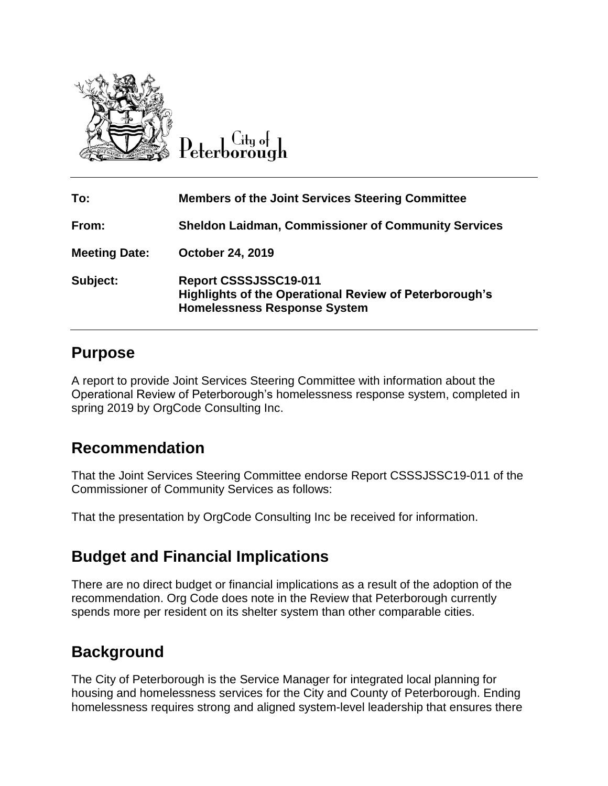

City of

| To:                  | <b>Members of the Joint Services Steering Committee</b>                                                                              |
|----------------------|--------------------------------------------------------------------------------------------------------------------------------------|
| From:                | <b>Sheldon Laidman, Commissioner of Community Services</b>                                                                           |
| <b>Meeting Date:</b> | <b>October 24, 2019</b>                                                                                                              |
| Subject:             | <b>Report CSSSJSSC19-011</b><br><b>Highlights of the Operational Review of Peterborough's</b><br><b>Homelessness Response System</b> |

## **Purpose**

A report to provide Joint Services Steering Committee with information about the Operational Review of Peterborough's homelessness response system, completed in spring 2019 by OrgCode Consulting Inc.

# **Recommendation**

That the Joint Services Steering Committee endorse Report CSSSJSSC19-011 of the Commissioner of Community Services as follows:

That the presentation by OrgCode Consulting Inc be received for information.

# **Budget and Financial Implications**

There are no direct budget or financial implications as a result of the adoption of the recommendation. Org Code does note in the Review that Peterborough currently spends more per resident on its shelter system than other comparable cities.

# **Background**

The City of Peterborough is the Service Manager for integrated local planning for housing and homelessness services for the City and County of Peterborough. Ending homelessness requires strong and aligned system-level leadership that ensures there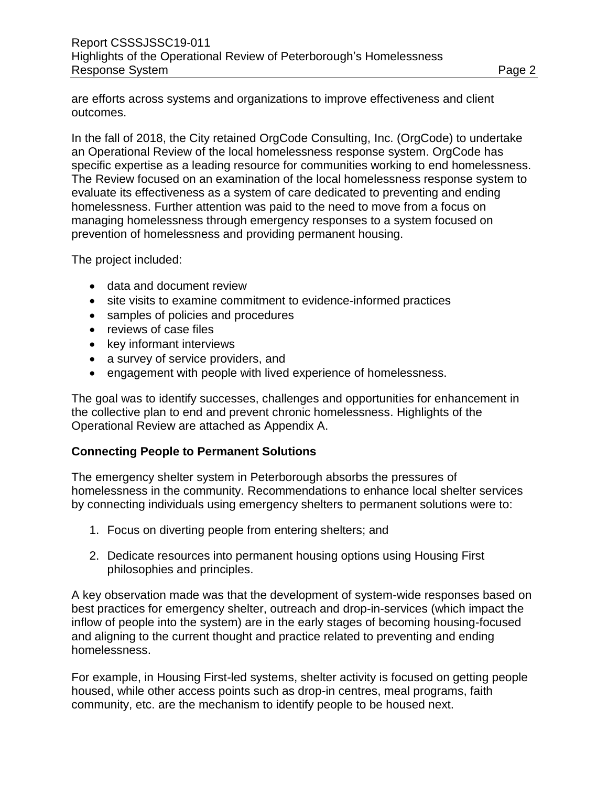are efforts across systems and organizations to improve effectiveness and client outcomes.

In the fall of 2018, the City retained OrgCode Consulting, Inc. (OrgCode) to undertake an Operational Review of the local homelessness response system. OrgCode has specific expertise as a leading resource for communities working to end homelessness. The Review focused on an examination of the local homelessness response system to evaluate its effectiveness as a system of care dedicated to preventing and ending homelessness. Further attention was paid to the need to move from a focus on managing homelessness through emergency responses to a system focused on prevention of homelessness and providing permanent housing.

The project included:

- data and document review
- site visits to examine commitment to evidence-informed practices
- samples of policies and procedures
- reviews of case files
- key informant interviews
- a survey of service providers, and
- engagement with people with lived experience of homelessness.

The goal was to identify successes, challenges and opportunities for enhancement in the collective plan to end and prevent chronic homelessness. Highlights of the Operational Review are attached as Appendix A.

## **Connecting People to Permanent Solutions**

The emergency shelter system in Peterborough absorbs the pressures of homelessness in the community. Recommendations to enhance local shelter services by connecting individuals using emergency shelters to permanent solutions were to:

- 1. Focus on diverting people from entering shelters; and
- 2. Dedicate resources into permanent housing options using Housing First philosophies and principles.

A key observation made was that the development of system-wide responses based on best practices for emergency shelter, outreach and drop-in-services (which impact the inflow of people into the system) are in the early stages of becoming housing-focused and aligning to the current thought and practice related to preventing and ending homelessness.

For example, in Housing First-led systems, shelter activity is focused on getting people housed, while other access points such as drop-in centres, meal programs, faith community, etc. are the mechanism to identify people to be housed next.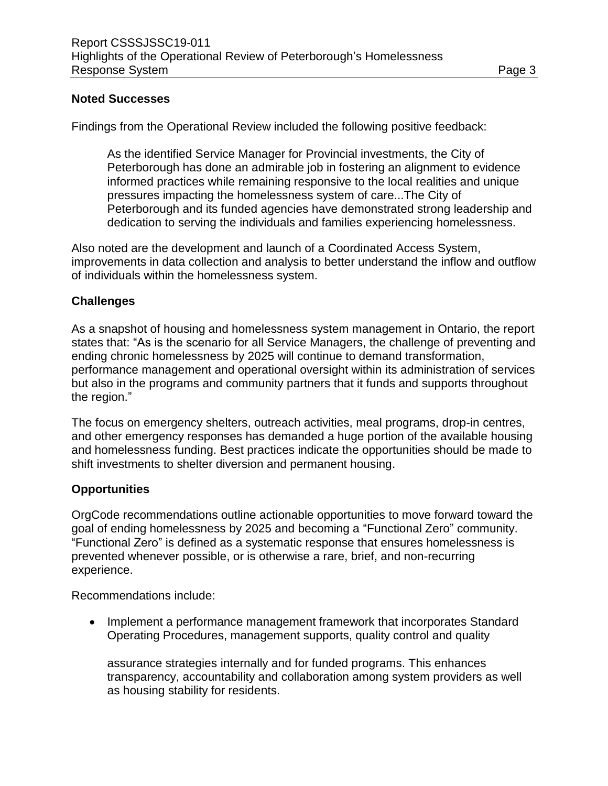#### **Noted Successes**

Findings from the Operational Review included the following positive feedback:

As the identified Service Manager for Provincial investments, the City of Peterborough has done an admirable job in fostering an alignment to evidence informed practices while remaining responsive to the local realities and unique pressures impacting the homelessness system of care...The City of Peterborough and its funded agencies have demonstrated strong leadership and dedication to serving the individuals and families experiencing homelessness.

Also noted are the development and launch of a Coordinated Access System, improvements in data collection and analysis to better understand the inflow and outflow of individuals within the homelessness system.

#### **Challenges**

As a snapshot of housing and homelessness system management in Ontario, the report states that: "As is the scenario for all Service Managers, the challenge of preventing and ending chronic homelessness by 2025 will continue to demand transformation, performance management and operational oversight within its administration of services but also in the programs and community partners that it funds and supports throughout the region."

The focus on emergency shelters, outreach activities, meal programs, drop-in centres, and other emergency responses has demanded a huge portion of the available housing and homelessness funding. Best practices indicate the opportunities should be made to shift investments to shelter diversion and permanent housing.

#### **Opportunities**

OrgCode recommendations outline actionable opportunities to move forward toward the goal of ending homelessness by 2025 and becoming a "Functional Zero" community. "Functional Zero" is defined as a systematic response that ensures homelessness is prevented whenever possible, or is otherwise a rare, brief, and non-recurring experience.

Recommendations include:

• Implement a performance management framework that incorporates Standard Operating Procedures, management supports, quality control and quality

assurance strategies internally and for funded programs. This enhances transparency, accountability and collaboration among system providers as well as housing stability for residents.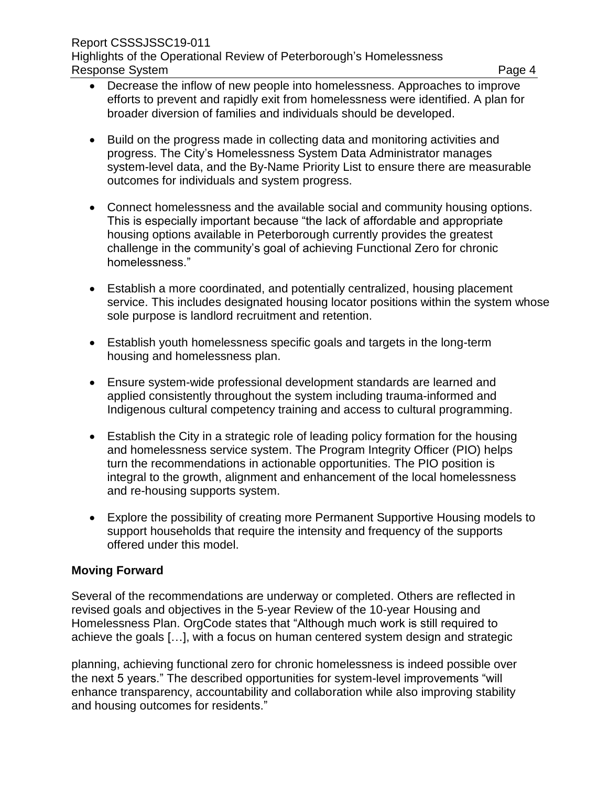- Decrease the inflow of new people into homelessness. Approaches to improve efforts to prevent and rapidly exit from homelessness were identified. A plan for broader diversion of families and individuals should be developed.
- Build on the progress made in collecting data and monitoring activities and progress. The City's Homelessness System Data Administrator manages system-level data, and the By-Name Priority List to ensure there are measurable outcomes for individuals and system progress.
- Connect homelessness and the available social and community housing options. This is especially important because "the lack of affordable and appropriate housing options available in Peterborough currently provides the greatest challenge in the community's goal of achieving Functional Zero for chronic homelessness."
- Establish a more coordinated, and potentially centralized, housing placement service. This includes designated housing locator positions within the system whose sole purpose is landlord recruitment and retention.
- Establish youth homelessness specific goals and targets in the long-term housing and homelessness plan.
- Ensure system-wide professional development standards are learned and applied consistently throughout the system including trauma-informed and Indigenous cultural competency training and access to cultural programming.
- Establish the City in a strategic role of leading policy formation for the housing and homelessness service system. The Program Integrity Officer (PIO) helps turn the recommendations in actionable opportunities. The PIO position is integral to the growth, alignment and enhancement of the local homelessness and re-housing supports system.
- Explore the possibility of creating more Permanent Supportive Housing models to support households that require the intensity and frequency of the supports offered under this model.

#### **Moving Forward**

Several of the recommendations are underway or completed. Others are reflected in revised goals and objectives in the 5-year Review of the 10-year Housing and Homelessness Plan. OrgCode states that "Although much work is still required to achieve the goals […], with a focus on human centered system design and strategic

planning, achieving functional zero for chronic homelessness is indeed possible over the next 5 years." The described opportunities for system-level improvements "will enhance transparency, accountability and collaboration while also improving stability and housing outcomes for residents."